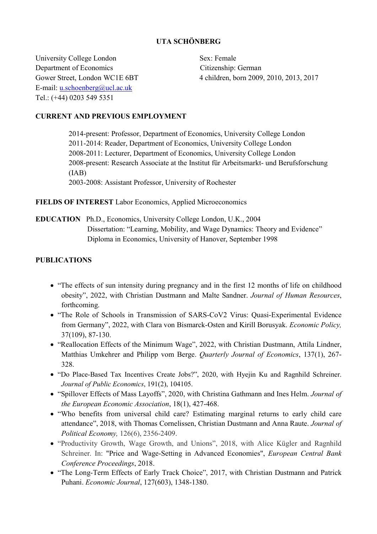## UTA SCHÖNBERG

University College London Sex: Female Department of Economics Citizenship: German E-mail: u.schoenberg@ucl.ac.uk Tel.: (+44) 0203 549 5351

Gower Street, London WC1E 6BT 4 children, born 2009, 2010, 2013, 2017

## CURRENT AND PREVIOUS EMPLOYMENT

 2014-present: Professor, Department of Economics, University College London 2011-2014: Reader, Department of Economics, University College London 2008-2011: Lecturer, Department of Economics, University College London 2008-present: Research Associate at the Institut für Arbeitsmarkt- und Berufsforschung (IAB) 2003-2008: Assistant Professor, University of Rochester

### FIELDS OF INTEREST Labor Economics, Applied Microeconomics

EDUCATION Ph.D., Economics, University College London, U.K., 2004 Dissertation: "Learning, Mobility, and Wage Dynamics: Theory and Evidence" Diploma in Economics, University of Hanover, September 1998

## PUBLICATIONS

- "The effects of sun intensity during pregnancy and in the first 12 months of life on childhood obesity", 2022, with Christian Dustmann and Malte Sandner. Journal of Human Resources, forthcoming.
- "The Role of Schools in Transmission of SARS-CoV2 Virus: Quasi-Experimental Evidence from Germany", 2022, with Clara von Bismarck-Osten and Kirill Borusyak. Economic Policy, 37(109), 87-130.
- "Reallocation Effects of the Minimum Wage", 2022, with Christian Dustmann, Attila Lindner, Matthias Umkehrer and Philipp vom Berge. Quarterly Journal of Economics, 137(1), 267- 328.
- "Do Place-Based Tax Incentives Create Jobs?", 2020, with Hyejin Ku and Ragnhild Schreiner. Journal of Public Economics, 191(2), 104105.
- "Spillover Effects of Mass Layoffs", 2020, with Christina Gathmann and Ines Helm. Journal of the European Economic Association, 18(1), 427-468.
- "Who benefits from universal child care? Estimating marginal returns to early child care attendance", 2018, with Thomas Cornelissen, Christian Dustmann and Anna Raute. Journal of Political Economy, 126(6), 2356-2409.
- "Productivity Growth, Wage Growth, and Unions", 2018, with Alice Kügler and Ragnhild Schreiner. In: "Price and Wage-Setting in Advanced Economies", European Central Bank Conference Proceedings, 2018.
- "The Long-Term Effects of Early Track Choice", 2017, with Christian Dustmann and Patrick Puhani. Economic Journal, 127(603), 1348-1380.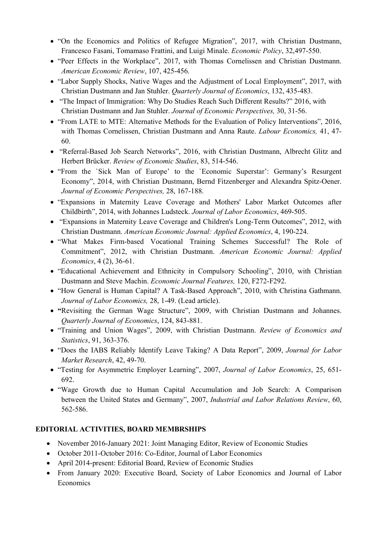- "On the Economics and Politics of Refugee Migration", 2017, with Christian Dustmann, Francesco Fasani, Tomamaso Frattini, and Luigi Minale. Economic Policy, 32,497-550.
- "Peer Effects in the Workplace", 2017, with Thomas Cornelissen and Christian Dustmann. American Economic Review, 107, 425-456.
- "Labor Supply Shocks, Native Wages and the Adjustment of Local Employment", 2017, with Christian Dustmann and Jan Stuhler. Quarterly Journal of Economics, 132, 435-483.
- "The Impact of Immigration: Why Do Studies Reach Such Different Results?" 2016, with Christian Dustmann and Jan Stuhler. Journal of Economic Perspectives, 30, 31-56.
- "From LATE to MTE: Alternative Methods for the Evaluation of Policy Interventions", 2016, with Thomas Cornelissen, Christian Dustmann and Anna Raute. Labour Economics, 41, 47- 60.
- "Referral-Based Job Search Networks", 2016, with Christian Dustmann, Albrecht Glitz and Herbert Brücker. Review of Economic Studies, 83, 514-546.
- "From the `Sick Man of Europe' to the `Economic Superstar': Germany's Resurgent Economy", 2014, with Christian Dustmann, Bernd Fitzenberger and Alexandra Spitz-Oener. Journal of Economic Perspectives, 28, 167-188.
- "Expansions in Maternity Leave Coverage and Mothers' Labor Market Outcomes after Childbirth", 2014, with Johannes Ludsteck. Journal of Labor Economics, 469-505.
- "Expansions in Maternity Leave Coverage and Children's Long-Term Outcomes", 2012, with Christian Dustmann. American Economic Journal: Applied Economics, 4, 190-224.
- "What Makes Firm-based Vocational Training Schemes Successful? The Role of Commitment", 2012, with Christian Dustmann. American Economic Journal: Applied Economics, 4 (2), 36-61.
- "Educational Achievement and Ethnicity in Compulsory Schooling", 2010, with Christian Dustmann and Steve Machin. Economic Journal Features, 120, F272-F292.
- "How General is Human Capital? A Task-Based Approach", 2010, with Christina Gathmann. Journal of Labor Economics, 28, 1-49. (Lead article).
- "Revisiting the German Wage Structure", 2009, with Christian Dustmann and Johannes. Quarterly Journal of Economics, 124, 843-881.
- "Training and Union Wages", 2009, with Christian Dustmann. Review of Economics and Statistics, 91, 363-376.
- "Does the IABS Reliably Identify Leave Taking? A Data Report", 2009, Journal for Labor Market Research, 42, 49-70.
- "Testing for Asymmetric Employer Learning", 2007, Journal of Labor Economics, 25, 651- 692.
- "Wage Growth due to Human Capital Accumulation and Job Search: A Comparison between the United States and Germany", 2007, Industrial and Labor Relations Review, 60, 562-586.

#### EDITORIAL ACTIVITIES, BOARD MEMBRSHIPS Ī

- November 2016-January 2021: Joint Managing Editor, Review of Economic Studies
- October 2011-October 2016: Co-Editor, Journal of Labor Economics
- April 2014-present: Editorial Board, Review of Economic Studies
- From January 2020: Executive Board, Society of Labor Economics and Journal of Labor **Economics**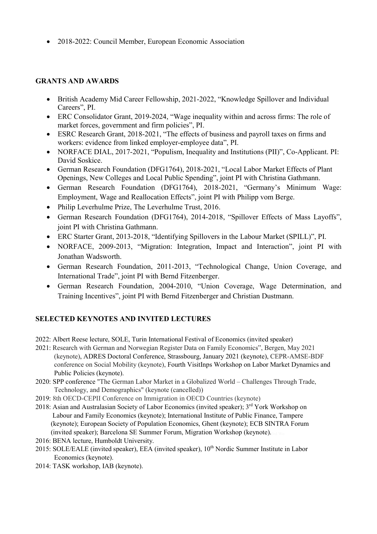• 2018-2022: Council Member, European Economic Association

## GRANTS AND AWARDS

- British Academy Mid Career Fellowship, 2021-2022, "Knowledge Spillover and Individual Careers", PI.
- ERC Consolidator Grant, 2019-2024, "Wage inequality within and across firms: The role of market forces, government and firm policies", PI.
- ESRC Research Grant, 2018-2021, "The effects of business and payroll taxes on firms and workers: evidence from linked employer-employee data", PI.
- NORFACE DIAL, 2017-2021, "Populism, Inequality and Institutions (PII)", Co-Applicant, PI: David Soskice.
- German Research Foundation (DFG1764), 2018-2021, "Local Labor Market Effects of Plant Openings, New Colleges and Local Public Spending", joint PI with Christina Gathmann.
- German Research Foundation (DFG1764), 2018-2021, "Germany's Minimum Wage: Employment, Wage and Reallocation Effects", joint PI with Philipp vom Berge.
- Philip Leverhulme Prize, The Leverhulme Trust, 2016.
- German Research Foundation (DFG1764), 2014-2018, "Spillover Effects of Mass Layoffs", joint PI with Christina Gathmann.
- ERC Starter Grant, 2013-2018, "Identifying Spillovers in the Labour Market (SPILL)", PI.
- NORFACE, 2009-2013, "Migration: Integration, Impact and Interaction", joint PI with Jonathan Wadsworth.
- German Research Foundation, 2011-2013, "Technological Change, Union Coverage, and International Trade", joint PI with Bernd Fitzenberger.
- German Research Foundation, 2004-2010, "Union Coverage, Wage Determination, and Training Incentives", joint PI with Bernd Fitzenberger and Christian Dustmann.

## SELECTED KEYNOTES AND INVITED LECTURES

2022: Albert Reese lecture, SOLE, Turin International Festival of Economics (invited speaker)

- 2021: Research with German and Norwegian Register Data on Family Economics", Bergen, May 2021 (keynote), ADRES Doctoral Conference, Strassbourg, January 2021 (keynote), CEPR-AMSE-BDF conference on Social Mobility (keynote), Fourth VisitInps Workshop on Labor Market Dynamics and Public Policies (keynote).
- 2020: SPP conference "The German Labor Market in a Globalized World Challenges Through Trade, Technology, and Demographics" (keynote (cancelled))
- 2019: 8th OECD-CEPII Conference on Immigration in OECD Countries (keynote)
- 2018: Asian and Australasian Society of Labor Economics (invited speaker); 3<sup>rd</sup> York Workshop on Labour and Family Economics (keynote); International Institute of Public Finance, Tampere (keynote); European Society of Population Economics, Ghent (keynote); ECB SINTRA Forum (invited speaker); Barcelona SE Summer Forum, Migration Workshop (keynote).
- 2016: BENA lecture, Humboldt University.
- 2015: SOLE/EALE (invited speaker), EEA (invited speaker), 10<sup>th</sup> Nordic Summer Institute in Labor Economics (keynote).
- 2014: TASK workshop, IAB (keynote).